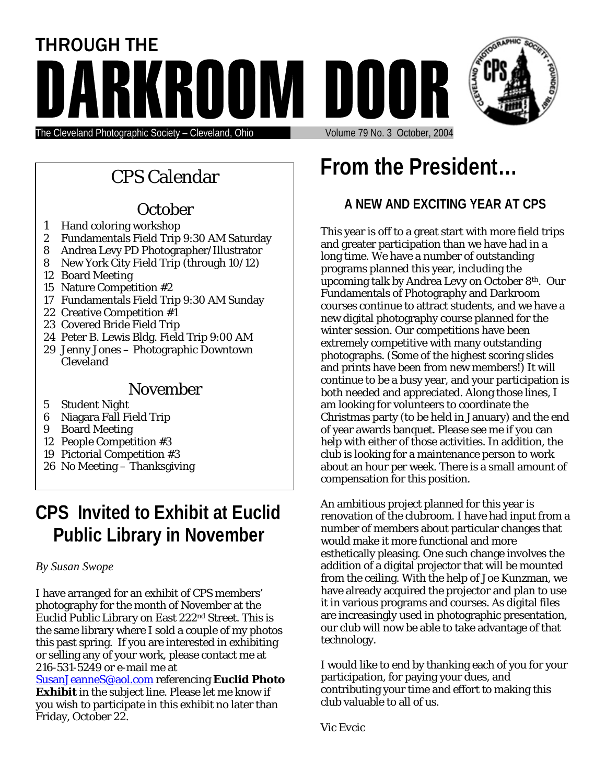



The Cleveland Photographic Society – Cleveland, Ohio

# **October**

- 1 Hand coloring workshop
- 2 Fundamentals Field Trip 9:30 AM Saturday
- 8 Andrea Levy PD Photographer/Illustrator
- 8 New York City Field Trip (through 10/12)
- 12 Board Meeting
- 15 Nature Competition #2
- 17 Fundamentals Field Trip 9:30 AM Sunday
- 22 Creative Competition #1
- 23 Covered Bride Field Trip
- 24 Peter B. Lewis Bldg. Field Trip 9:00 AM
- 29 Jenny Jones Photographic Downtown Cleveland

### November

- 5 Student Night
- 6 Niagara Fall Field Trip
- 9 Board Meeting
- 12 People Competition #3
- 19 Pictorial Competition #3
- 26 No Meeting Thanksgiving

# **CPS Invited to Exhibit at Euclid Public Library in November**

#### *By Susan Swope*

I have arranged for an exhibit of CPS members' photography for the month of November at the Euclid Public Library on East 222nd Street. This is the same library where I sold a couple of my photos this past spring. If you are interested in exhibiting or selling any of your work, please contact me at 216-531-5249 or e-mail me at

[SusanJeanneS@aol.com](mailto:SusanJeanneS@aol.com) referencing **Euclid Photo Exhibit** in the subject line. Please let me know if you wish to participate in this exhibit no later than Friday, October 22.

# **From the President...**<br> **From the President...**

# **A NEW AND EXCITING YEAR AT CPS**

This year is off to a great start with more field trips and greater participation than we have had in a long time. We have a number of outstanding programs planned this year, including the upcoming talk by Andrea Levy on October 8th. Our Fundamentals of Photography and Darkroom courses continue to attract students, and we have a new digital photography course planned for the winter session. Our competitions have been extremely competitive with many outstanding photographs. (Some of the highest scoring slides and prints have been from new members!) It will continue to be a busy year, and your participation is both needed and appreciated. Along those lines, I am looking for volunteers to coordinate the Christmas party (to be held in January) and the end of year awards banquet. Please see me if you can help with either of those activities. In addition, the club is looking for a maintenance person to work about an hour per week. There is a small amount of compensation for this position.

An ambitious project planned for this year is renovation of the clubroom. I have had input from a number of members about particular changes that would make it more functional and more esthetically pleasing. One such change involves the addition of a digital projector that will be mounted from the ceiling. With the help of Joe Kunzman, we have already acquired the projector and plan to use it in various programs and courses. As digital files are increasingly used in photographic presentation, our club will now be able to take advantage of that technology.

I would like to end by thanking each of you for your participation, for paying your dues, and contributing your time and effort to making this club valuable to all of us.

*Vic Evcic*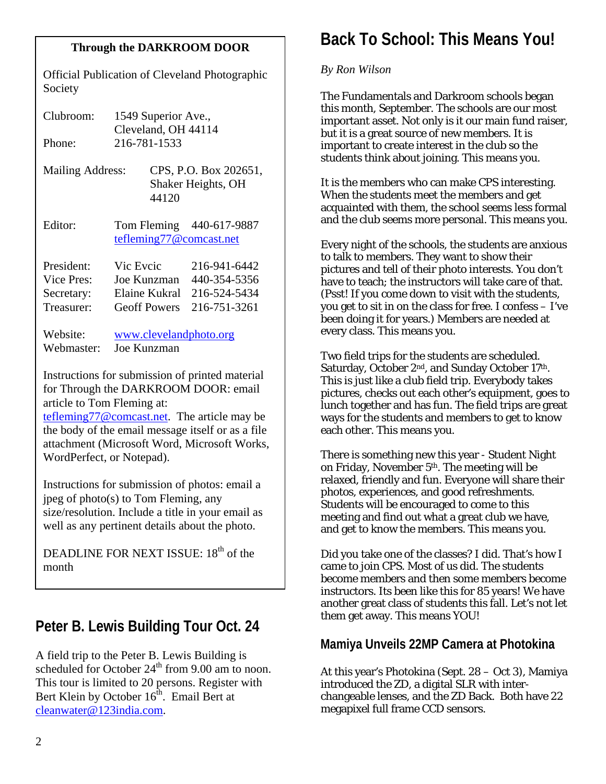Official Publication of Cleveland Photographic Society

| Clubroom:<br>Phone:                                  |                          | 1549 Superior Ave.,<br>Cleveland, OH 44114<br>216-781-1533 |                                                              |
|------------------------------------------------------|--------------------------|------------------------------------------------------------|--------------------------------------------------------------|
| Mailing Address:                                     |                          | 44120                                                      | CPS, P.O. Box 202651,<br>Shaker Heights, OH                  |
| Editor:                                              |                          |                                                            | Tom Fleming 440-617-9887<br>tefleming77@comcast.net          |
| President:<br>Vice Pres:<br>Secretary:<br>Treasurer: | Vic Eveic<br>Joe Kunzman | Elaine Kukral<br><b>Geoff Powers</b>                       | 216-941-6442<br>440-354-5356<br>216-524-5434<br>216-751-3261 |
| 1171 <sup>.</sup>                                    |                          | $\sim$ 1 1 1 $\sim$                                        |                                                              |

Website: <u>[www.clevelandphoto.org](http://www.clevelandphoto.org/)</u> Webmaster: Joe Kunzman

Instructions for submission of printed material for Through the DARKROOM DOOR: email article to Tom Fleming at:

[tefleming77@comcast.net.](mailto:tefleming77@comcast.net) The article may be the body of the email message itself or as a file attachment (Microsoft Word, Microsoft Works, WordPerfect, or Notepad).

Instructions for submission of photos: email a jpeg of photo(s) to Tom Fleming, any size/resolution. Include a title in your email as well as any pertinent details about the photo.

DEADLINE FOR NEXT ISSUE:  $18<sup>th</sup>$  of the month

# **Peter B. Lewis Building Tour Oct. 24**

A field trip to the Peter B. Lewis Building is scheduled for October  $24<sup>th</sup>$  from 9.00 am to noon. This tour is limited to 20 persons. Register with Bert Klein by October  $16<sup>th</sup>$ . Email Bert at [cleanwater@123india.com.](mailto:cleanwater@123india.com)

# **Back To School: This Means You! Through the DARKROOM DOOR**

#### *By Ron Wilson*

The Fundamentals and Darkroom schools began this month, September. The schools are our most important asset. Not only is it our main fund raiser, but it is a great source of new members. It is important to create interest in the club so the students think about joining. This means you.

It is the members who can make CPS interesting. When the students meet the members and get acquainted with them, the school seems less formal and the club seems more personal. This means you.

Every night of the schools, the students are anxious to talk to members. They want to show their pictures and tell of their photo interests. You don't have to teach; the instructors will take care of that. (Psst! If you come down to visit with the students, you get to sit in on the class for free. I confess – I've been doing it for years.) Members are needed at every class. This means you.

Two field trips for the students are scheduled. Saturday, October 2<sup>nd</sup>, and Sunday October 17<sup>th</sup>. This is just like a club field trip. Everybody takes pictures, checks out each other's equipment, goes to lunch together and has fun. The field trips are great ways for the students and members to get to know each other. This means you.

There is something new this year - Student Night on Friday, November 5th. The meeting will be relaxed, friendly and fun. Everyone will share their photos, experiences, and good refreshments. Students will be encouraged to come to this meeting and find out what a great club we have, and get to know the members. This means you.

Did you take one of the classes? I did. That's how I came to join CPS. Most of us did. The students become members and then some members become instructors. Its been like this for 85 years! We have another great class of students this fall. Let's not let them get away. This means YOU!

### **Mamiya Unveils 22MP Camera at Photokina**

At this year's Photokina (Sept. 28 – Oct 3), Mamiya introduced the ZD, a digital SLR with interchangeable lenses, and the ZD Back. Both have 22 megapixel full frame CCD sensors.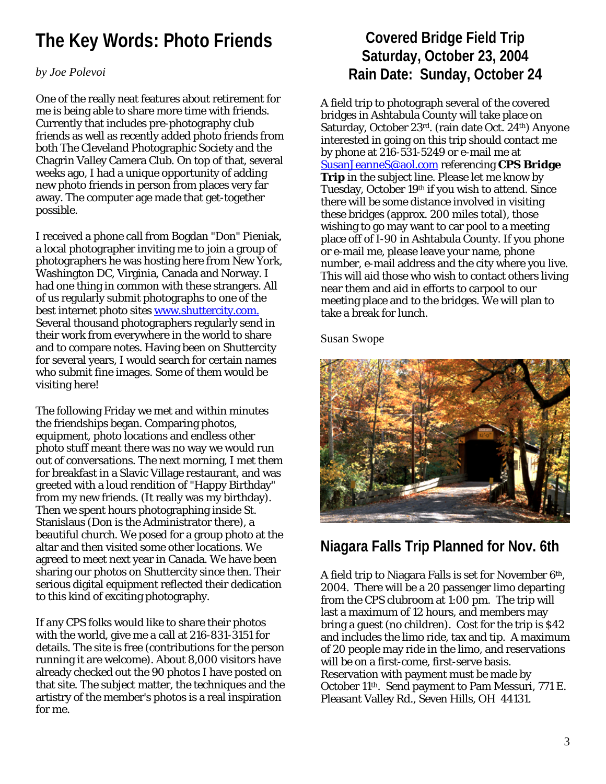# **The Key Words: Photo Friends**

#### *by Joe Polevoi*

One of the really neat features about retirement for me is being able to share more time with friends. Currently that includes pre-photography club friends as well as recently added photo friends from both The Cleveland Photographic Society and the Chagrin Valley Camera Club. On top of that, several weeks ago, I had a unique opportunity of adding new photo friends in person from places very far away. The computer age made that get-together possible.

I received a phone call from Bogdan "Don" Pieniak, a local photographer inviting me to join a group of photographers he was hosting here from New York, Washington DC, Virginia, Canada and Norway. I had one thing in common with these strangers. All of us regularly submit photographs to one of the best internet photo sites [www.shuttercity.com.](http://www.shuttercity.com.several/) Several thousand photographers regularly send in their work from everywhere in the world to share and to compare notes. Having been on Shuttercity for several years, I would search for certain names who submit fine images. Some of them would be visiting here!

The following Friday we met and within minutes the friendships began. Comparing photos, equipment, photo locations and endless other photo stuff meant there was no way we would run out of conversations. The next morning, I met them for breakfast in a Slavic Village restaurant, and was greeted with a loud rendition of "Happy Birthday" from my new friends. (It really was my birthday). Then we spent hours photographing inside St. Stanislaus (Don is the Administrator there), a beautiful church. We posed for a group photo at the altar and then visited some other locations. We agreed to meet next year in Canada. We have been sharing our photos on Shuttercity since then. Their serious digital equipment reflected their dedication to this kind of exciting photography.

If any CPS folks would like to share their photos with the world, give me a call at 216-831-3151 for details. The site is free (contributions for the person running it are welcome). About 8,000 visitors have already checked out the 90 photos I have posted on that site. The subject matter, the techniques and the artistry of the member's photos is a real inspiration for me.

# **Covered Bridge Field Trip Saturday, October 23, 2004 Rain Date: Sunday, October 24**

A field trip to photograph several of the covered bridges in Ashtabula County will take place on Saturday, October 23rd. (rain date Oct. 24th) Anyone interested in going on this trip should contact me by phone at 216-531-5249 or e-mail me at [SusanJeanneS@aol.com](mailto:SusanJeanneS@aol.com) referencing **CPS Bridge Trip** in the subject line. Please let me know by Tuesday, October 19<sup>th</sup> if you wish to attend. Since there will be some distance involved in visiting these bridges (approx. 200 miles total), those wishing to go may want to car pool to a meeting place off of I-90 in Ashtabula County. If you phone or e-mail me, please leave your name, phone number, e-mail address and the city where you live. This will aid those who wish to contact others living near them and aid in efforts to carpool to our meeting place and to the bridges. We will plan to take a break for lunch.

Susan Swope



# **Niagara Falls Trip Planned for Nov. 6th**

A field trip to Niagara Falls is set for November  $6<sup>th</sup>$ , 2004. There will be a 20 passenger limo departing from the CPS clubroom at 1:00 pm. The trip will last a maximum of 12 hours, and members may bring a guest (no children). Cost for the trip is \$42 and includes the limo ride, tax and tip. A maximum of 20 people may ride in the limo, and reservations will be on a first-come, first-serve basis. Reservation with payment must be made by October 11th. Send payment to Pam Messuri, 771 E. Pleasant Valley Rd., Seven Hills, OH 44131.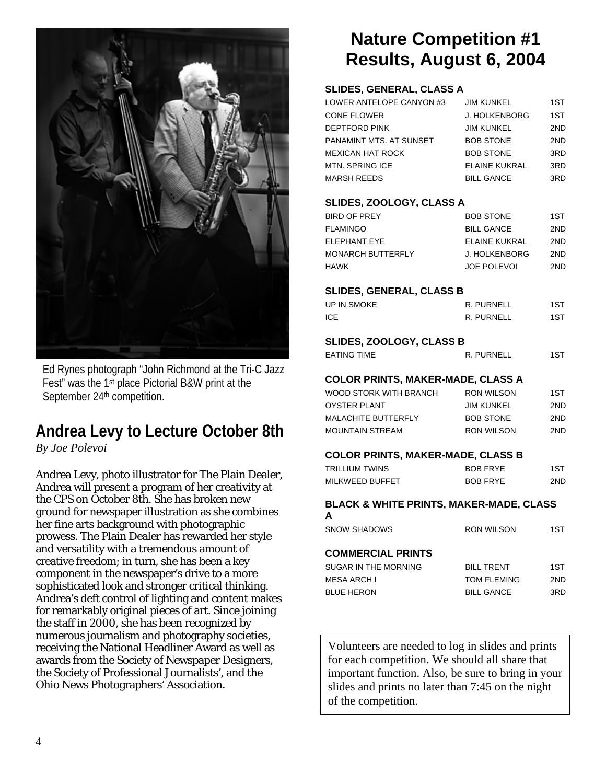

Ed Rynes photograph "John Richmond at the Tri-C Jazz Fest" was the 1st place Pictorial B&W print at the September 24<sup>th</sup> competition.

# **Andrea Levy to Lecture October 8th**

*By Joe Polevoi* 

Andrea Levy, photo illustrator for The Plain Dealer, Andrea will present a program of her creativity at the CPS on October 8th. She has broken new ground for newspaper illustration as she combines her fine arts background with photographic prowess. The Plain Dealer has rewarded her style and versatility with a tremendous amount of creative freedom; in turn, she has been a key component in the newspaper's drive to a more sophisticated look and stronger critical thinking. Andrea's deft control of lighting and content makes for remarkably original pieces of art. Since joining the staff in 2000, she has been recognized by numerous journalism and photography societies, receiving the National Headliner Award as well as awards from the Society of Newspaper Designers, the Society of Professional Journalists', and the Ohio News Photographers' Association.

# **Nature Competition #1 Results, August 6, 2004**

#### **SLIDES, GENERAL, CLASS A**

| LOWER ANTELOPE CANYON #3 | <b>JIM KUNKEL</b>    | 1ST |
|--------------------------|----------------------|-----|
| <b>CONE FLOWER</b>       | <b>J. HOLKENBORG</b> | 1ST |
| DEPTFORD PINK            | <b>JIM KUNKEL</b>    | 2ND |
| PANAMINT MTS. AT SUNSET  | <b>BOB STONE</b>     | 2ND |
| MEXICAN HAT ROCK         | <b>BOB STONE</b>     | 3RD |
| MTN. SPRING ICE          | <b>ELAINE KUKRAL</b> | 3RD |
| MARSH REEDS              | <b>BILL GANCE</b>    | 3RD |
|                          |                      |     |
| SLIDES ZOOLOGY CLASS A   |                      |     |

#### **SLIDES, ZOOLOGY, CLASS A**

| BIRD OF PREY      | <b>BOB STONE</b>   | 1ST |
|-------------------|--------------------|-----|
| FLAMINGO          | <b>BILL GANCE</b>  | 2ND |
| ELEPHANT EYE      | ELAINE KUKRAL      | 2ND |
| MONARCH BUTTERFLY | J. HOLKENBORG      | 2ND |
| HAWK              | <b>JOE POLEVOL</b> | 2ND |
|                   |                    |     |

#### **SLIDES, GENERAL, CLASS B**

| UP IN SMOKE | R. PURNELL | 1ST  |
|-------------|------------|------|
| <b>ICE</b>  | R. PURNELL | 1ST. |

#### **SLIDES, ZOOLOGY, CLASS B**

| EATING TIME | R. PURNELL |  |
|-------------|------------|--|
|             |            |  |

#### **COLOR PRINTS, MAKER-MADE, CLASS A**

| WOOD STORK WITH BRANCH     | RON WILSON        | 1ST  |
|----------------------------|-------------------|------|
| <b>OYSTER PLANT</b>        | <b>JIM KUNKEL</b> | 2ND. |
| <b>MALACHITE BUTTERFLY</b> | <b>BOB STONE</b>  | 2ND. |
| <b>MOUNTAIN STREAM</b>     | <b>RON WILSON</b> | 2ND. |
|                            |                   |      |

#### **COLOR PRINTS, MAKER-MADE, CLASS B**

| TRILLIUM TWINS  | <b>BOB FRYE</b> | 1ST  |
|-----------------|-----------------|------|
| MILKWEED BUFFET | <b>BOB FRYE</b> | 2ND. |

## **BLACK & WHITE PRINTS, MAKER-MADE, CLASS**

| A                        |                    |     |
|--------------------------|--------------------|-----|
| <b>SNOW SHADOWS</b>      | <b>RON WILSON</b>  | 1ST |
|                          |                    |     |
| <b>COMMERCIAL PRINTS</b> |                    |     |
| SUGAR IN THE MORNING     | <b>BILL TRENT</b>  | 1ST |
| <b>MESA ARCH I</b>       | <b>TOM FLEMING</b> | 2ND |
| <b>BLUE HERON</b>        | <b>BILL GANCE</b>  | 3RD |

Volunteers are needed to log in slides and prints for each competition. We should all share that important function. Also, be sure to bring in your slides and prints no later than 7:45 on the night of the competition.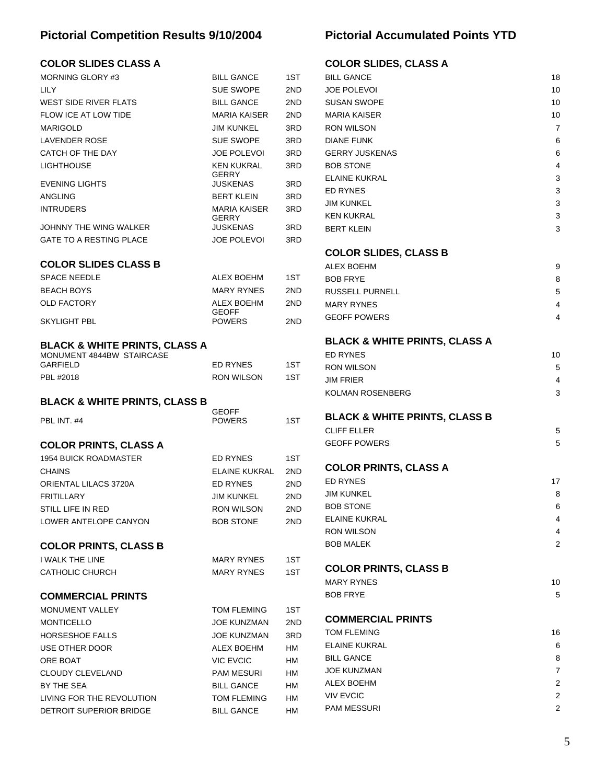### **Pictorial Competition Results 9/10/2004**

### **COLOR SLIDES CLASS A**

| UULUK ƏLIDEƏ ULAƏƏ A                     |                                         |          |
|------------------------------------------|-----------------------------------------|----------|
| <b>MORNING GLORY #3</b>                  | <b>BILL GANCE</b>                       | 1ST      |
| LILY                                     | <b>SUE SWOPE</b>                        | 2ND      |
| WEST SIDE RIVER FLATS                    | <b>BILL GANCE</b>                       | 2ND      |
| <b>FLOW ICE AT LOW TIDE</b>              | <b>MARIA KAISER</b>                     | 2ND      |
| <b>MARIGOLD</b>                          | <b>JIM KUNKEL</b>                       | 3RD      |
| <b>LAVENDER ROSE</b>                     | <b>SUE SWOPE</b>                        | 3RD      |
| CATCH OF THE DAY                         | <b>JOE POLEVOI</b>                      | 3RD      |
| LIGHTHOUSE                               | <b>KEN KUKRAL</b>                       | 3RD      |
|                                          | <b>GERRY</b>                            |          |
| <b>EVENING LIGHTS</b>                    | JUSKENAS                                | 3RD      |
| ANGLING                                  | <b>BERT KLEIN</b>                       | 3RD      |
| <b>INTRUDERS</b>                         | <b>MARIA KAISER</b><br><b>GERRY</b>     | 3RD      |
| JOHNNY THE WING WALKER                   | <b>JUSKENAS</b>                         | 3RD      |
| <b>GATE TO A RESTING PLACE</b>           | JOE POLEVOI                             | 3RD      |
|                                          |                                         |          |
| <b>COLOR SLIDES CLASS B</b>              |                                         |          |
| <b>SPACE NEEDLE</b>                      | ALEX BOEHM                              | 1ST.     |
| <b>BEACH BOYS</b>                        | <b>MARY RYNES</b>                       | 2ND      |
| <b>OLD FACTORY</b>                       | <b>ALEX BOEHM</b>                       | 2ND      |
| SKYLIGHT PBL                             | <b>GEOFF</b><br><b>POWERS</b>           | 2ND      |
|                                          |                                         |          |
| <b>BLACK &amp; WHITE PRINTS, CLASS A</b> |                                         |          |
| MONUMENT 4844BW STAIRCASE                |                                         |          |
| GARFIELD                                 | ED RYNES                                | 1ST      |
| PBL #2018                                | <b>RON WILSON</b>                       | 1ST      |
| <b>BLACK &amp; WHITE PRINTS, CLASS B</b> |                                         |          |
|                                          | <b>GEOFF</b>                            |          |
| PBL INT. #4                              | <b>POWERS</b>                           | 1ST      |
|                                          |                                         |          |
| <b>COLOR PRINTS, CLASS A</b>             |                                         |          |
| <b>1954 BUICK ROADMASTER</b>             | <b>ED RYNES</b>                         | 1ST      |
| <b>CHAINS</b>                            | ELAINE KUKRAL                           | 2ND      |
| ORIENTAL LILACS 3720A                    | <b>ED RYNES</b>                         | 2ND      |
| <b>FRITILLARY</b>                        | <b>JIM KUNKEL</b>                       | 2ND      |
| STILL LIFE IN RED                        | RON WILSON                              | 2ND      |
| LOWER ANTELOPE CANYON                    | <b>BOB STONE</b>                        | 2ND      |
|                                          |                                         |          |
| <b>COLOR PRINTS, CLASS B</b>             |                                         |          |
| <b>I WALK THE LINE</b>                   | MARY RYNES                              | 1ST      |
| <b>CATHOLIC CHURCH</b>                   | MARY RYNES                              | 1ST      |
| <b>COMMERCIAL PRINTS</b>                 |                                         |          |
|                                          |                                         |          |
| <b>MONUMENT VALLEY</b>                   | TOM FLEMING                             | 1ST      |
| <b>MONTICELLO</b>                        | JOE KUNZMAN                             | 2ND      |
| <b>HORSESHOE FALLS</b>                   | JOE KUNZMAN                             | 3RD      |
| USE OTHER DOOR                           | ALEX BOEHM                              | HM       |
| ORE BOAT                                 | <b>VIC EVCIC</b>                        | HM       |
| <b>CLOUDY CLEVELAND</b>                  | PAM MESURI                              | HM       |
|                                          |                                         |          |
| BY THE SEA<br>LIVING FOR THE REVOLUTION  | <b>BILL GANCE</b><br><b>TOM FLEMING</b> | HM<br>НM |

DETROIT SUPERIOR BRIDGE BILL GANCE HM

### **Pictorial Accumulated Points YTD**

#### **COLOR SLIDES, CLASS A**

| <b>BILL GANCE</b>     | 18 |
|-----------------------|----|
| <b>JOE POLEVOI</b>    | 10 |
| <b>SUSAN SWOPE</b>    | 10 |
| <b>MARIA KAISER</b>   | 10 |
| <b>RON WILSON</b>     | 7  |
| <b>DIANE FUNK</b>     | 6  |
| <b>GERRY JUSKENAS</b> | 6  |
| <b>BOB STONE</b>      | 4  |
| <b>ELAINE KUKRAL</b>  | 3  |
| <b>ED RYNES</b>       | 3  |
| <b>JIM KUNKEL</b>     | 3  |
| <b>KEN KUKRAL</b>     | 3  |
| <b>BERT KLEIN</b>     | 3  |

#### **COLOR SLIDES, CLASS B**

| ALEX BOEHM        | 9 |
|-------------------|---|
| BOB FRYE          | 8 |
| RUSSELL PURNELL   | 5 |
| <b>MARY RYNES</b> | 4 |
| GEOFF POWERS      |   |

#### **BLACK & WHITE PRINTS, CLASS A**

| ED RYNES          | 10 |
|-------------------|----|
| <b>RON WILSON</b> | 5. |
| JIM FRIER         | 4  |
| KOLMAN ROSENBERG  | 3  |
|                   |    |

# **BLACK & WHITE PRINTS, CLASS B**

| CLIFF ELLER  |  |
|--------------|--|
| GEOFF POWERS |  |

#### **COLOR PRINTS, CLASS A**

| <b>ED RYNES</b>   | 17 |
|-------------------|----|
| <b>JIM KUNKEL</b> | 8  |
| <b>BOB STONE</b>  | 6  |
| ELAINE KUKRAL     | 4  |
| <b>RON WILSON</b> | 4  |
| <b>BOB MALEK</b>  | 2  |

#### **COLOR PRINTS, CLASS B**

| MARY RYNES | 10 |
|------------|----|
| BOB FRYE   |    |

#### **COMMERCIAL PRINTS**

| TOM FLEMING      | 16 |
|------------------|----|
| ELAINE KUKRAL    | 6  |
| BILL GANCE       | 8  |
| JOE KUNZMAN      |    |
| ALEX BOEHM       | 2  |
| <b>VIV EVCIC</b> | 2  |
| PAM MESSURI      | 2  |